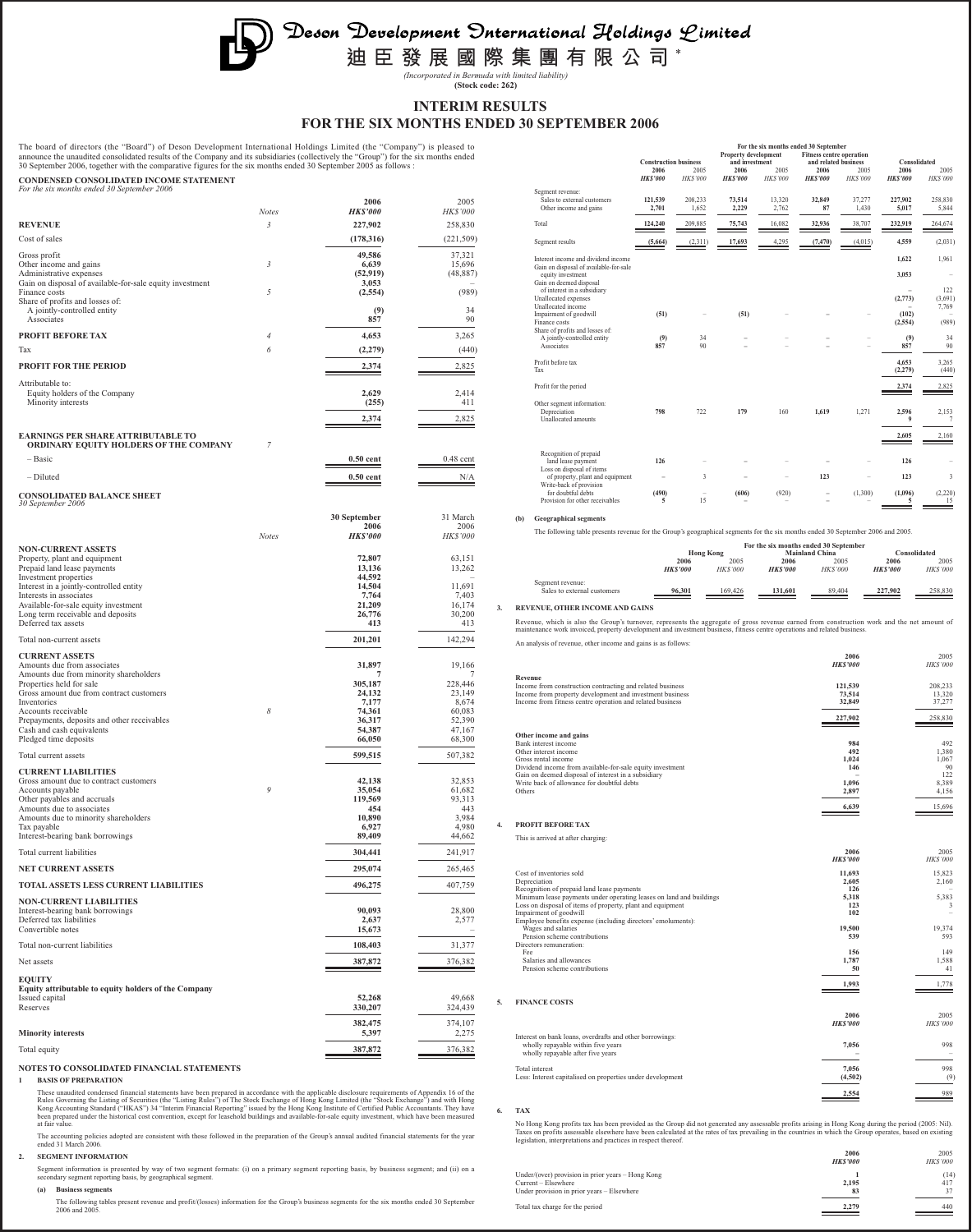Deson Development Onternational Holdings Limited

**迪臣發展國際集團有限公司** \*

*(Incorporated in Bermuda with limited liability)* **(Stock code: 262)**

# **INTERIM RESULTS FOR THE SIX MONTHS ENDED 30 SEPTEMBER 2006**

The board of directors (the "Board") of Deson Development International Holdings Limited (the "Company") is pleased to<br>announce the unaudited consolidated results of the Company and its subsidiaries (collectively the "Grou

| CONDENSED CONSOLIDATED INCOME STATEMENT<br>For the six months ended 30 September 2006 |              |                         |                         |
|---------------------------------------------------------------------------------------|--------------|-------------------------|-------------------------|
|                                                                                       | <b>Notes</b> | 2006<br><b>HK\$'000</b> | 2005<br><b>HK\$'000</b> |
| <b>REVENUE</b>                                                                        | 3            | 227,902                 | 258,830                 |
| Cost of sales                                                                         |              | (178,316)               | (221, 509)              |
| Gross profit                                                                          |              | 49,586                  | 37,321                  |
| Other income and gains<br>Administrative expenses                                     | 3            | 6,639<br>(52, 919)      | 15,696<br>(48, 887)     |
| Gain on disposal of available-for-sale equity investment                              |              | 3,053                   |                         |
| Finance costs<br>Share of profits and losses of:                                      | 5            | (2, 554)                | (989)                   |
| A jointly-controlled entity<br>Associates                                             |              | (9)<br>857              | 34<br>90                |
| <b>PROFIT BEFORE TAX</b>                                                              | 4            | 4,653                   | 3,265                   |
| Tax                                                                                   | 6            | (2,279)                 | (440)                   |
| <b>PROFIT FOR THE PERIOD</b>                                                          |              | 2,374                   | 2,825                   |
| Attributable to:                                                                      |              |                         |                         |
| Equity holders of the Company<br>Minority interests                                   |              | 2,629<br>(255)          | 2,414<br>411            |
|                                                                                       |              | 2,374                   | 2,825                   |
| EARNINGS PER SHARE ATTRIBUTABLE TO<br>ORDINARY EQUITY HOLDERS OF THE COMPANY          | 7            |                         |                         |
| $-$ Basic                                                                             |              | $0.50$ cent             | $0.48$ cent             |
| - Diluted                                                                             |              | $0.50$ cent             | N/A                     |
|                                                                                       |              |                         |                         |
| <b>CONSOLIDATED BALANCE SHEET</b><br><i>30 September 2006</i>                         |              |                         |                         |
|                                                                                       |              | 30 September            | 31 March                |
|                                                                                       | <b>Notes</b> | 2006<br><b>HK\$'000</b> | 2006<br><i>HK\$'000</i> |
| <b>NON-CURRENT ASSETS</b>                                                             |              |                         |                         |
| Property, plant and equipment<br>Prepaid land lease payments                          |              | 72,807<br>13,136        | 63,151<br>13,262        |
| Investment properties<br>Interest in a jointly-controlled entity                      |              | 44,592<br>14,504        | 11,691                  |
| Interests in associates                                                               |              | 7,764                   | 7,403                   |
| Available-for-sale equity investment<br>Long term receivable and deposits             |              | 21,209<br>26,776        | 16,174<br>30,200        |
| Deferred tax assets                                                                   |              | 413                     | 413                     |
| Total non-current assets                                                              |              | 201,201                 | 142,294                 |
| <b>CURRENT ASSETS</b><br>Amounts due from associates                                  |              | 31,897                  | 19,166                  |
| Amounts due from minority shareholders                                                |              | 7                       |                         |
| Properties held for sale<br>Gross amount due from contract customers                  |              | 305,187<br>24,132       | 228,446<br>23,149       |
| Inventories<br>Accounts receivable                                                    | 8            | 7,177                   | 8,674                   |
| Prepayments, deposits and other receivables                                           |              | 74,361<br>36,317        | 60,083<br>52,390        |
| Cash and cash equivalents<br>Pledged time deposits                                    |              | 54,387<br>66,050        | 47,167<br>68,300        |
| Total current assets                                                                  |              | 599,515                 | 507,382                 |
| <b>CURRENT LIABILITIES</b>                                                            |              |                         |                         |
| Gross amount due to contract customers                                                |              | 42,138                  | 32,853                  |
| Accounts payable<br>Other payables and accruals                                       | 9            | 35,054<br>119,569       | 61,682<br>93,313        |
| Amounts due to associates<br>Amounts due to minority shareholders                     |              | 454<br>10,890           | 443<br>3,984            |
| Tax payable                                                                           |              | 6,927                   | 4,980                   |
| Interest-bearing bank borrowings                                                      |              | 89,409                  | 44,662                  |
| Total current liabilities                                                             |              | 304,441                 | 241,917                 |
| <b>NET CURRENT ASSETS</b>                                                             |              | 295,074                 | 265,465                 |
| TOTAL ASSETS LESS CURRENT LIABILITIES                                                 |              | 496,275                 | 407,759                 |
| <b>NON-CURRENT LIABILITIES</b><br>Interest-bearing bank borrowings                    |              | 90,093                  | 28,800                  |
| Deferred tax liabilities                                                              |              | 2,637                   | 2,577                   |
| Convertible notes                                                                     |              | 15,673                  |                         |
| Total non-current liabilities                                                         |              | 108,403                 | 31,377                  |
| Net assets                                                                            |              | 387,872                 | 376,382                 |
| <b>EQUITY</b><br>Equity attributable to equity holders of the Company                 |              |                         |                         |
| Issued capital<br>Reserves                                                            |              | 52,268<br>330,207       | 49,668<br>324,439       |
|                                                                                       |              | 382,475                 | 374,107                 |
| <b>Minority interests</b>                                                             |              | 5,397                   | 2,275                   |
| Total equity                                                                          |              | 387,872                 | 376,382                 |
|                                                                                       |              |                         |                         |

**NOTES TO CONSOLIDATED FINANCIAL STATEMENTS**

# **1 BASIS OF PREPARATION**

These unaudited condensed financial statements have been prepared in accordance with the applicable disclosure requirements of Appendix 16 of the<br>Rules Governing the Listing of Securities (the "Listing Rules") of The Stock

The accounting policies adopted are consistent with those followed in the preparation of the Group's annual audited financial statements for the year ended 31 March 2006.

# **2. SEGMENT INFORMATION**

Segment information is presented by way of two segment formats: (i) on a primary segment reporting basis, by business segment; and (ii) on a secondary segment reporting basis, by geographical segment.

**(a) Business segments**

The following tables present revenue and profit/(losses) information for the Group's business segments for the six months ended 30 September 2006 and 2005.

|                                                                                                                                                                                                                                                       | <b>Construction business</b><br>2006<br><b>HKS'000</b> | 2005<br><b>HKS'000</b>         | Property development<br>and investment<br>2006<br><b>HKS'000</b> | 2005<br><b>HKS'000</b> | For the six months ended 30 September<br><b>Fitness centre operation</b><br>and related business<br>2006<br><b>HKS'000</b> | 2005<br><b>HKS'000</b> | Consolidated<br>2006<br><b>HKS'000</b>                                     | 2005<br><b>HKS'000</b>                    |
|-------------------------------------------------------------------------------------------------------------------------------------------------------------------------------------------------------------------------------------------------------|--------------------------------------------------------|--------------------------------|------------------------------------------------------------------|------------------------|----------------------------------------------------------------------------------------------------------------------------|------------------------|----------------------------------------------------------------------------|-------------------------------------------|
| Segment revenue:<br>Sales to external customers<br>Other income and gains                                                                                                                                                                             | 121,539<br>2,701                                       | 208,233<br>1.652               | 73,514<br>2,229                                                  | 13,320<br>2,762        | 32,849<br>87                                                                                                               | 37,277<br>1,430        | 227,902<br>5,017                                                           | 258,830<br>5,844                          |
| Total                                                                                                                                                                                                                                                 | 124,240                                                | 209,885                        | 75,743                                                           | 16,082                 | 32,936                                                                                                                     | 38,707                 | 232,919                                                                    | 264,674                                   |
| Segment results                                                                                                                                                                                                                                       | (5,664)                                                | (2,311)                        | 17,693                                                           | 4,295                  | (7, 470)                                                                                                                   | (4,015)                | 4,559                                                                      | (2,031)                                   |
| Interest income and dividend income<br>Gain on disposal of available-for-sale<br>equity investment<br>Gain on deemed disposal<br>of interest in a subsidiary<br>Unallocated expenses<br>Unallocated income<br>Impairment of goodwill<br>Finance costs | (51)                                                   |                                | (51)                                                             |                        |                                                                                                                            |                        | 1,622<br>3,053<br>$\overline{\phantom{0}}$<br>(2,773)<br>(102)<br>(2, 554) | 1,961<br>122<br>(3,691)<br>7,769<br>(989) |
| Share of profits and losses of:<br>A jointly-controlled entity<br>Associates                                                                                                                                                                          | (9)<br>857                                             | 34<br>90                       |                                                                  |                        |                                                                                                                            |                        | (9)<br>857                                                                 | 34<br>90                                  |
| Profit before tax<br>Tax<br>Profit for the period                                                                                                                                                                                                     |                                                        |                                |                                                                  |                        |                                                                                                                            |                        | 4.653<br>(2,279)<br>2,374                                                  | 3,265<br>(440)<br>2,825                   |
| Other segment information:<br>Depreciation<br>Unallocated amounts                                                                                                                                                                                     | 798                                                    | 722                            | 179                                                              | 160                    | 1,619                                                                                                                      | 1,271                  | 2,596<br>9<br>2,605                                                        | 2,153<br>$\tau$<br>2.160                  |
| Recognition of prepaid<br>land lease payment<br>Loss on disposal of items<br>of property, plant and equipment<br>Write-back of provision<br>for doubtful debts                                                                                        | 126<br>$\overline{\phantom{0}}$<br>(490)               | 3                              | ۳                                                                |                        | 123                                                                                                                        |                        | 126<br>123<br>(1.096)                                                      | 3<br>(2.220)                              |
| Provision for other receivables                                                                                                                                                                                                                       | 5                                                      | $\overline{\phantom{0}}$<br>15 | (606)                                                            | (920)                  | $\overline{\phantom{0}}$                                                                                                   | (1,300)                | 5                                                                          | 15                                        |

**(b) Geographical segments**

The following table presents revenue for the Group's geographical segments for the six months ended 30 September 2006 and 2005.

|                                                 |                |                  | For the six months ended 30 September |                       |                 |                |  |
|-------------------------------------------------|----------------|------------------|---------------------------------------|-----------------------|-----------------|----------------|--|
|                                                 |                | <b>Hong Kong</b> |                                       | <b>Mainland China</b> |                 | Consolidated   |  |
|                                                 | 2006           | 2005             | 2006                                  | 2005                  | 2006            | 2005           |  |
|                                                 | <b>HKS'000</b> | <i>HK\$'000</i>  | <b>HKS'000</b>                        | <i>HK\$'000</i>       | <b>HK\$'000</b> | <b>HKS'000</b> |  |
| Segment revenue:<br>Sales to external customers | 96.301         | 169.426          | 131.601                               | 89,404                | 227,902         | 258,830        |  |

**3. REVENUE, OTHER INCOME AND GAINS**

Revenue, which is also the Group's turnover, represents the aggregate of gross revenue earned from construction work and the net amount of<br>maintenance work invoiced, property development and investment business, fitness ce

An analysis of revenue, other income and gains is as follows:

|                                                         |                                                                                                                                   | 2006<br><b>HKS'000</b> | 2005<br><b>HKS'000</b> |
|---------------------------------------------------------|-----------------------------------------------------------------------------------------------------------------------------------|------------------------|------------------------|
| Revenue                                                 |                                                                                                                                   |                        |                        |
|                                                         | Income from construction contracting and related business                                                                         | 121.539                | 208.233                |
|                                                         | Income from property development and investment business                                                                          | 73,514                 | 13,320                 |
|                                                         | Income from fitness centre operation and related business                                                                         | 32,849                 | 37,277                 |
|                                                         |                                                                                                                                   | 227,902                | 258,830                |
| Other income and gains                                  |                                                                                                                                   |                        |                        |
| Bank interest income                                    |                                                                                                                                   | 984                    | 492                    |
| Other interest income                                   |                                                                                                                                   | 492                    | 1.380                  |
| Gross rental income                                     |                                                                                                                                   | 1.024<br>146           | 1.067<br>90            |
|                                                         | Dividend income from available-for-sale equity investment<br>Gain on deemed disposal of interest in a subsidiary                  |                        | 122                    |
|                                                         | Write back of allowance for doubtful debts                                                                                        | 1,096                  | 8,389                  |
| Others                                                  |                                                                                                                                   | 2,897                  | 4.156                  |
|                                                         |                                                                                                                                   | 6,639                  | 15,696                 |
|                                                         |                                                                                                                                   |                        |                        |
| 4.<br>PROFIT BEFORE TAX                                 |                                                                                                                                   |                        |                        |
| This is arrived at after charging:                      |                                                                                                                                   |                        |                        |
|                                                         |                                                                                                                                   | 2006                   | 2005                   |
|                                                         |                                                                                                                                   | <b>HKS'000</b>         | <b>HKS'000</b>         |
| Cost of inventories sold                                |                                                                                                                                   | 11.693                 | 15.823                 |
| Depreciation                                            |                                                                                                                                   | 2.605                  | 2.160                  |
|                                                         | Recognition of prepaid land lease payments                                                                                        | 126                    |                        |
|                                                         | Minimum lease payments under operating leases on land and buildings<br>Loss on disposal of items of property, plant and equipment | 5,318<br>123           | 5,383<br>3             |
| Impairment of goodwill                                  |                                                                                                                                   | 102                    |                        |
|                                                         | Employee benefits expense (including directors' emoluments):                                                                      |                        |                        |
| Wages and salaries                                      |                                                                                                                                   | 19,500                 | 19.374                 |
| Pension scheme contributions                            |                                                                                                                                   | 539                    | 593                    |
| Directors remuneration:                                 |                                                                                                                                   |                        |                        |
| Fee                                                     |                                                                                                                                   | 156                    | 149                    |
| Salaries and allowances<br>Pension scheme contributions |                                                                                                                                   | 1,787<br>50            | 1.588<br>41            |
|                                                         |                                                                                                                                   |                        |                        |
|                                                         |                                                                                                                                   | 1,993                  | 1,778                  |
| 5.<br><b>FINANCE COSTS</b>                              |                                                                                                                                   |                        |                        |
|                                                         |                                                                                                                                   | 2006                   | 2005                   |
|                                                         |                                                                                                                                   | <b>HKS'000</b>         | HK\$'000               |
|                                                         | Interest on bank loans, overdrafts and other borrowings:                                                                          |                        |                        |
| wholly repayable within five years                      |                                                                                                                                   | 7,056                  | 998                    |
| wholly repayable after five years                       |                                                                                                                                   |                        |                        |
| Total interest                                          |                                                                                                                                   | 7,056                  | 998                    |
|                                                         | Less: Interest capitalised on properties under development                                                                        | (4,502)                | (9)                    |
|                                                         |                                                                                                                                   | 2,554                  | 989                    |
|                                                         |                                                                                                                                   |                        |                        |

**6. TAX**

No Hong Kong profits tax has been provided as the Group did not generated any assessable profits arising in Hong Kong during the period (2005: Nil).<br>Taxes on profits assessable elsewhere have been calculated at the rates o

|                                                   | 2006           | 2005           |
|---------------------------------------------------|----------------|----------------|
|                                                   | <b>HKS'000</b> | <b>HKS'000</b> |
| Under/(over) provision in prior years - Hong Kong |                | (14)           |
| Current – Elsewhere                               | 2.195          | 417            |
| Under provision in prior years - Elsewhere        | 83             | 37             |
| Total tax charge for the period                   | 2.279          | 440            |